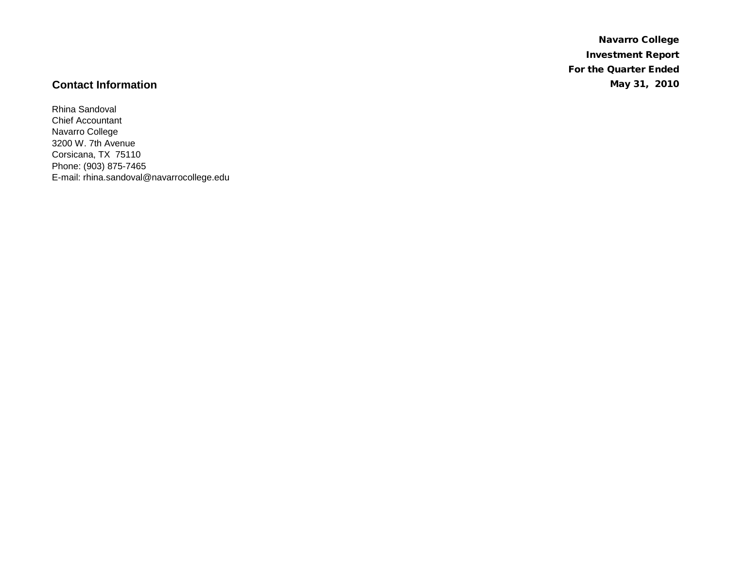Navarro College Investment Report For the Quarter Ended **Contact Information** May 31, 2010

Rhina Sandoval Chief Accountant Navarro College 3200 W. 7th Avenue Corsicana, TX 75110 Phone: (903) 875-7465 E-mail: rhina.sandoval@navarrocollege.edu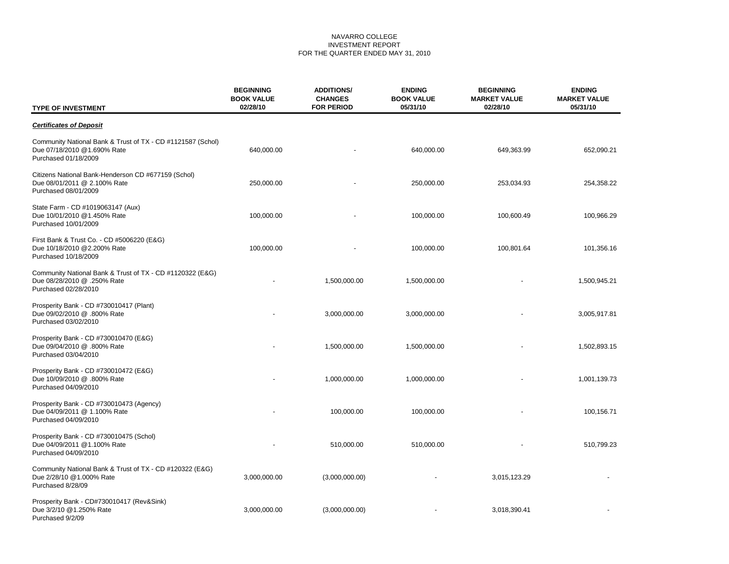#### NAVARRO COLLEGE INVESTMENT REPORT FOR THE QUARTER ENDED MAY 31, 2010

| <b>TYPE OF INVESTMENT</b>                                                                                          | <b>BEGINNING</b><br><b>BOOK VALUE</b><br>02/28/10 | <b>ADDITIONS/</b><br><b>CHANGES</b><br><b>FOR PERIOD</b> | <b>ENDING</b><br><b>BOOK VALUE</b><br>05/31/10 | <b>BEGINNING</b><br><b>MARKET VALUE</b><br>02/28/10 | <b>ENDING</b><br><b>MARKET VALUE</b><br>05/31/10 |
|--------------------------------------------------------------------------------------------------------------------|---------------------------------------------------|----------------------------------------------------------|------------------------------------------------|-----------------------------------------------------|--------------------------------------------------|
| <b>Certificates of Deposit</b>                                                                                     |                                                   |                                                          |                                                |                                                     |                                                  |
| Community National Bank & Trust of TX - CD #1121587 (Schol)<br>Due 07/18/2010 @1.690% Rate<br>Purchased 01/18/2009 | 640,000.00                                        |                                                          | 640,000.00                                     | 649,363.99                                          | 652,090.21                                       |
| Citizens National Bank-Henderson CD #677159 (Schol)<br>Due 08/01/2011 @ 2.100% Rate<br>Purchased 08/01/2009        | 250,000.00                                        |                                                          | 250,000.00                                     | 253,034.93                                          | 254,358.22                                       |
| State Farm - CD #1019063147 (Aux)<br>Due 10/01/2010 @1.450% Rate<br>Purchased 10/01/2009                           | 100,000.00                                        |                                                          | 100,000.00                                     | 100,600.49                                          | 100,966.29                                       |
| First Bank & Trust Co. - CD #5006220 (E&G)<br>Due 10/18/2010 @2.200% Rate<br>Purchased 10/18/2009                  | 100,000.00                                        |                                                          | 100,000.00                                     | 100,801.64                                          | 101,356.16                                       |
| Community National Bank & Trust of TX - CD #1120322 (E&G)<br>Due 08/28/2010 @ .250% Rate<br>Purchased 02/28/2010   |                                                   | 1,500,000.00                                             | 1,500,000.00                                   |                                                     | 1,500,945.21                                     |
| Prosperity Bank - CD #730010417 (Plant)<br>Due 09/02/2010 @ .800% Rate<br>Purchased 03/02/2010                     |                                                   | 3,000,000.00                                             | 3,000,000.00                                   |                                                     | 3,005,917.81                                     |
| Prosperity Bank - CD #730010470 (E&G)<br>Due 09/04/2010 @ .800% Rate<br>Purchased 03/04/2010                       |                                                   | 1,500,000.00                                             | 1,500,000.00                                   |                                                     | 1,502,893.15                                     |
| Prosperity Bank - CD #730010472 (E&G)<br>Due 10/09/2010 @ .800% Rate<br>Purchased 04/09/2010                       |                                                   | 1,000,000.00                                             | 1,000,000.00                                   |                                                     | 1,001,139.73                                     |
| Prosperity Bank - CD #730010473 (Agency)<br>Due 04/09/2011 @ 1.100% Rate<br>Purchased 04/09/2010                   |                                                   | 100,000.00                                               | 100,000.00                                     |                                                     | 100,156.71                                       |
| Prosperity Bank - CD #730010475 (Schol)<br>Due 04/09/2011 @1.100% Rate<br>Purchased 04/09/2010                     |                                                   | 510,000.00                                               | 510,000.00                                     |                                                     | 510,799.23                                       |
| Community National Bank & Trust of TX - CD #120322 (E&G)<br>Due 2/28/10 @1.000% Rate<br>Purchased 8/28/09          | 3,000,000.00                                      | (3,000,000.00)                                           |                                                | 3,015,123.29                                        |                                                  |
| Prosperity Bank - CD#730010417 (Rev&Sink)<br>Due 3/2/10 @1.250% Rate<br>Purchased 9/2/09                           | 3,000,000.00                                      | (3,000,000.00)                                           |                                                | 3,018,390.41                                        |                                                  |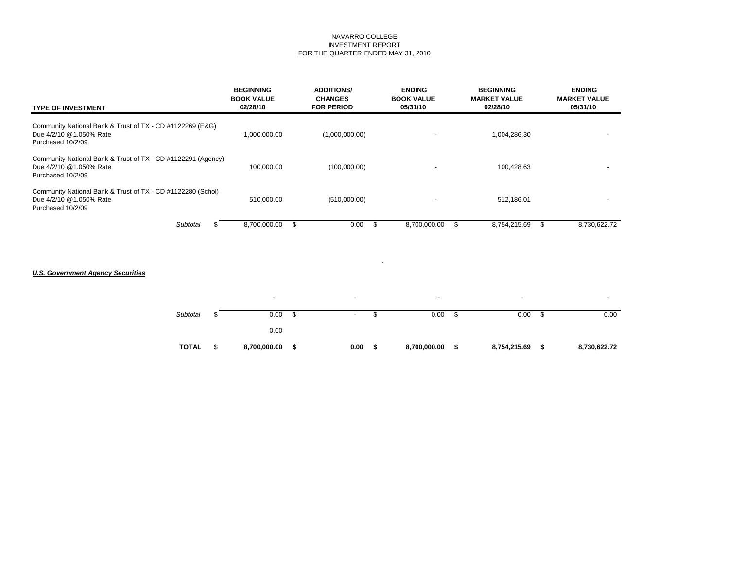#### NAVARRO COLLEGE INVESTMENT REPORT FOR THE QUARTER ENDED MAY 31, 2010

| <b>TYPE OF INVESTMENT</b>                                                                                    | <b>BEGINNING</b><br><b>BOOK VALUE</b><br>02/28/10 | <b>ADDITIONS/</b><br><b>CHANGES</b><br><b>FOR PERIOD</b> | <b>ENDING</b><br><b>BOOK VALUE</b><br>05/31/10 | <b>BEGINNING</b><br><b>MARKET VALUE</b><br>02/28/10 | <b>ENDING</b><br><b>MARKET VALUE</b><br>05/31/10 |
|--------------------------------------------------------------------------------------------------------------|---------------------------------------------------|----------------------------------------------------------|------------------------------------------------|-----------------------------------------------------|--------------------------------------------------|
| Community National Bank & Trust of TX - CD #1122269 (E&G)<br>Due 4/2/10 @1.050% Rate<br>Purchased 10/2/09    | 1.000.000.00                                      | (1,000,000.00)                                           |                                                | 1,004,286.30                                        |                                                  |
| Community National Bank & Trust of TX - CD #1122291 (Agency)<br>Due 4/2/10 @1.050% Rate<br>Purchased 10/2/09 | 100,000.00                                        | (100,000.00)                                             |                                                | 100,428.63                                          |                                                  |
| Community National Bank & Trust of TX - CD #1122280 (Schol)<br>Due 4/2/10 @1.050% Rate<br>Purchased 10/2/09  | 510,000.00                                        | (510,000.00)                                             |                                                | 512,186.01                                          |                                                  |
| Subtotal                                                                                                     | 8,700,000.00                                      | 0.00                                                     | 8,700,000.00<br>ъ                              | 8.754.215.69                                        | 8.730.622.72                                     |

### *U.S. Government Agency Securities*

|              |    | $\overline{\phantom{a}}$ |    | $\blacksquare$ |    | $\overline{\phantom{a}}$ |    | $\overline{\phantom{0}}$ |     |              |
|--------------|----|--------------------------|----|----------------|----|--------------------------|----|--------------------------|-----|--------------|
| Subtotal     | æ. | 0.00                     | \$ | $\blacksquare$ | ъ  | 0.00                     | \$ | 0.00                     | \$  | 0.00         |
|              |    | 0.00                     |    |                |    |                          |    |                          |     |              |
| <b>TOTAL</b> | \$ | 8,700,000.00             | S  | 0.00           | -S | 8,700,000.00             | S  | 8,754,215.69             | -\$ | 8,730,622.72 |

 $\mathcal{O}(\mathcal{O}(\log n))$  . The set of  $\mathcal{O}(\log n)$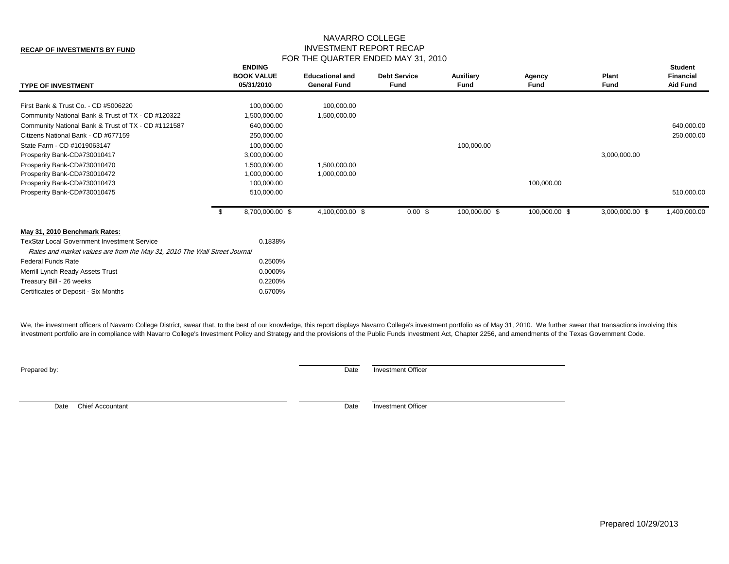## NAVARRO COLLEGE INVESTMENT REPORT RECAP FOR THE QUARTER ENDED MAY 31, 2010

| <b>TYPE OF INVESTMENT</b>                                                                                                       |      | <b>ENDING</b><br><b>BOOK VALUE</b><br>05/31/2010 | <b>Educational and</b><br><b>General Fund</b> | <b>Debt Service</b><br><b>Fund</b> | Auxiliary<br>Fund | Agency<br>Fund | Plant<br>Fund   | <b>Student</b><br><b>Financial</b><br><b>Aid Fund</b> |
|---------------------------------------------------------------------------------------------------------------------------------|------|--------------------------------------------------|-----------------------------------------------|------------------------------------|-------------------|----------------|-----------------|-------------------------------------------------------|
| First Bank & Trust Co. - CD #5006220                                                                                            |      | 100,000.00                                       | 100,000.00                                    |                                    |                   |                |                 |                                                       |
| Community National Bank & Trust of TX - CD #120322                                                                              |      | 1,500,000.00                                     | 1,500,000.00                                  |                                    |                   |                |                 |                                                       |
| Community National Bank & Trust of TX - CD #1121587                                                                             |      | 640,000.00                                       |                                               |                                    |                   |                |                 | 640,000.00                                            |
| Citizens National Bank - CD #677159                                                                                             |      | 250,000.00                                       |                                               |                                    |                   |                |                 | 250,000.00                                            |
| State Farm - CD #1019063147                                                                                                     |      | 100,000.00                                       |                                               |                                    | 100,000.00        |                |                 |                                                       |
| Prosperity Bank-CD#730010417                                                                                                    |      | 3,000,000.00                                     |                                               |                                    |                   |                | 3,000,000.00    |                                                       |
| Prosperity Bank-CD#730010470                                                                                                    |      | 1,500,000.00                                     | 1,500,000.00                                  |                                    |                   |                |                 |                                                       |
| Prosperity Bank-CD#730010472                                                                                                    |      | 1,000,000.00                                     | 1,000,000.00                                  |                                    |                   |                |                 |                                                       |
| Prosperity Bank-CD#730010473                                                                                                    |      | 100,000.00                                       |                                               |                                    |                   | 100,000.00     |                 |                                                       |
| Prosperity Bank-CD#730010475                                                                                                    |      | 510,000.00                                       |                                               |                                    |                   |                |                 | 510,000.00                                            |
|                                                                                                                                 | - \$ | 8,700,000.00 \$                                  | 4,100,000.00 \$                               | 0.00~\$                            | 100,000.00 \$     | 100,000.00 \$  | 3,000,000.00 \$ | 1,400,000.00                                          |
| May 31, 2010 Benchmark Rates:                                                                                                   |      |                                                  |                                               |                                    |                   |                |                 |                                                       |
| <b>TexStar Local Government Investment Service</b><br>Rates and market values are from the May 31, 2010 The Wall Street Journal |      | 0.1838%                                          |                                               |                                    |                   |                |                 |                                                       |
| <b>Federal Funds Rate</b>                                                                                                       |      | 0.2500%                                          |                                               |                                    |                   |                |                 |                                                       |
| Merrill Lynch Ready Assets Trust                                                                                                |      | 0.0000%                                          |                                               |                                    |                   |                |                 |                                                       |
|                                                                                                                                 |      |                                                  |                                               |                                    |                   |                |                 |                                                       |
| Treasury Bill - 26 weeks                                                                                                        |      | 0.2200%                                          |                                               |                                    |                   |                |                 |                                                       |
| Certificates of Deposit - Six Months                                                                                            |      | 0.6700%                                          |                                               |                                    |                   |                |                 |                                                       |

We, the investment officers of Navarro College District, swear that, to the best of our knowledge, this report displays Navarro College's investment portfolio as of May 31, 2010. We further swear that transactions involvin investment portfolio are in compliance with Navarro College's Investment Policy and Strategy and the provisions of the Public Funds Investment Act, Chapter 2256, and amendments of the Texas Government Code.

**Prepared by:** Date Investment Officer

Date Chief Accountant Date investment Officer

**RECAP OF INVESTMENTS BY FUND**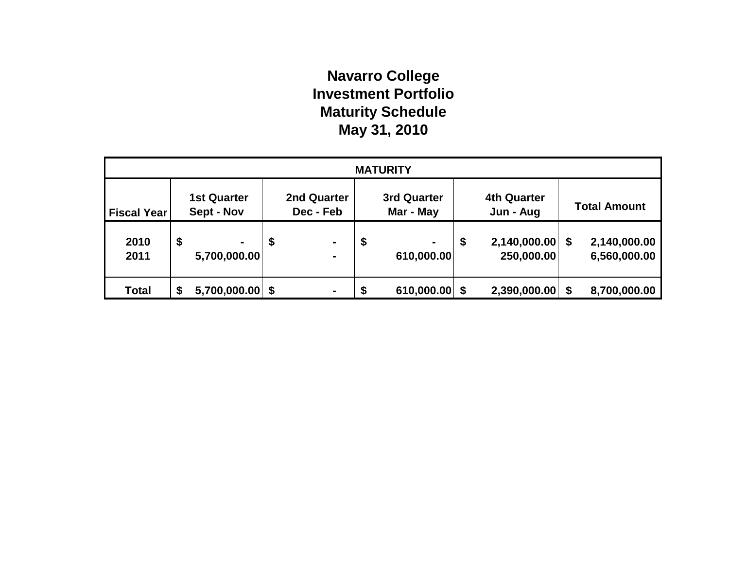# **Navarro College Investment Portfolio Maturity Schedule May 31, 2010**

| <b>MATURITY</b>    |                                  |    |                          |    |                              |    |                                 |    |                              |  |
|--------------------|----------------------------------|----|--------------------------|----|------------------------------|----|---------------------------------|----|------------------------------|--|
| <b>Fiscal Year</b> | <b>1st Quarter</b><br>Sept - Nov |    | 2nd Quarter<br>Dec - Feb |    | 3rd Quarter<br>Mar - May     |    | <b>4th Quarter</b><br>Jun - Aug |    | <b>Total Amount</b>          |  |
| 2010<br>2011       | \$<br>5,700,000.00               | \$ | $\blacksquare$           | \$ | $\blacksquare$<br>610,000.00 | \$ | 2,140,000.00<br>250,000.00      | \$ | 2,140,000.00<br>6,560,000.00 |  |
| <b>Total</b>       | $5,700,000.00$ \$<br>\$          |    |                          |    | 610,000.00                   |    | 2,390,000.00                    |    | 8,700,000.00                 |  |